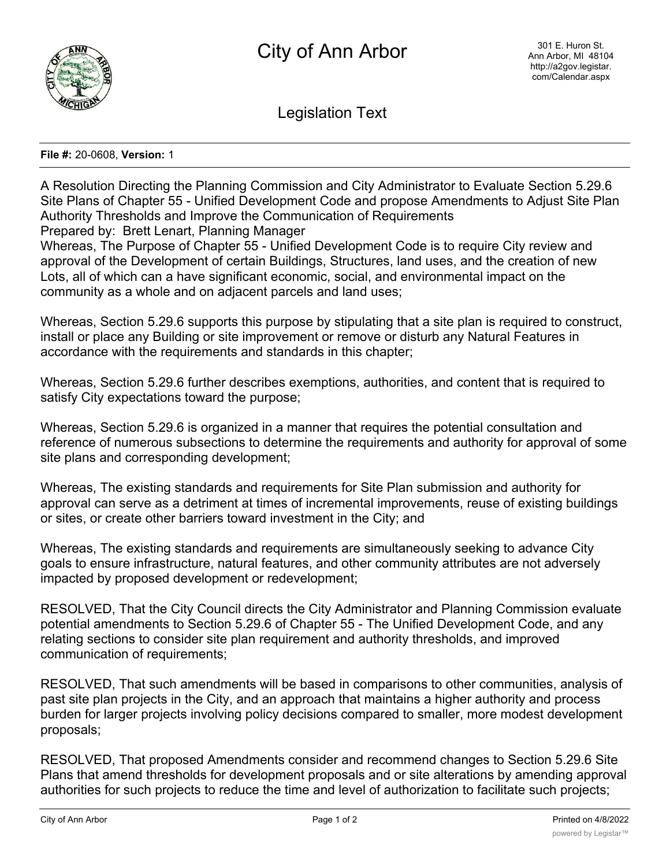

Legislation Text

## **File #:** 20-0608, **Version:** 1

A Resolution Directing the Planning Commission and City Administrator to Evaluate Section 5.29.6 Site Plans of Chapter 55 - Unified Development Code and propose Amendments to Adjust Site Plan Authority Thresholds and Improve the Communication of Requirements Prepared by: Brett Lenart, Planning Manager

Whereas, The Purpose of Chapter 55 - Unified Development Code is to require City review and approval of the Development of certain Buildings, Structures, land uses, and the creation of new Lots, all of which can a have significant economic, social, and environmental impact on the community as a whole and on adjacent parcels and land uses;

Whereas, Section 5.29.6 supports this purpose by stipulating that a site plan is required to construct, install or place any Building or site improvement or remove or disturb any Natural Features in accordance with the requirements and standards in this chapter;

Whereas, Section 5.29.6 further describes exemptions, authorities, and content that is required to satisfy City expectations toward the purpose;

Whereas, Section 5.29.6 is organized in a manner that requires the potential consultation and reference of numerous subsections to determine the requirements and authority for approval of some site plans and corresponding development;

Whereas, The existing standards and requirements for Site Plan submission and authority for approval can serve as a detriment at times of incremental improvements, reuse of existing buildings or sites, or create other barriers toward investment in the City; and

Whereas, The existing standards and requirements are simultaneously seeking to advance City goals to ensure infrastructure, natural features, and other community attributes are not adversely impacted by proposed development or redevelopment;

RESOLVED, That the City Council directs the City Administrator and Planning Commission evaluate potential amendments to Section 5.29.6 of Chapter 55 - The Unified Development Code, and any relating sections to consider site plan requirement and authority thresholds, and improved communication of requirements;

RESOLVED, That such amendments will be based in comparisons to other communities, analysis of past site plan projects in the City, and an approach that maintains a higher authority and process burden for larger projects involving policy decisions compared to smaller, more modest development proposals;

RESOLVED, That proposed Amendments consider and recommend changes to Section 5.29.6 Site Plans that amend thresholds for development proposals and or site alterations by amending approval authorities for such projects to reduce the time and level of authorization to facilitate such projects;